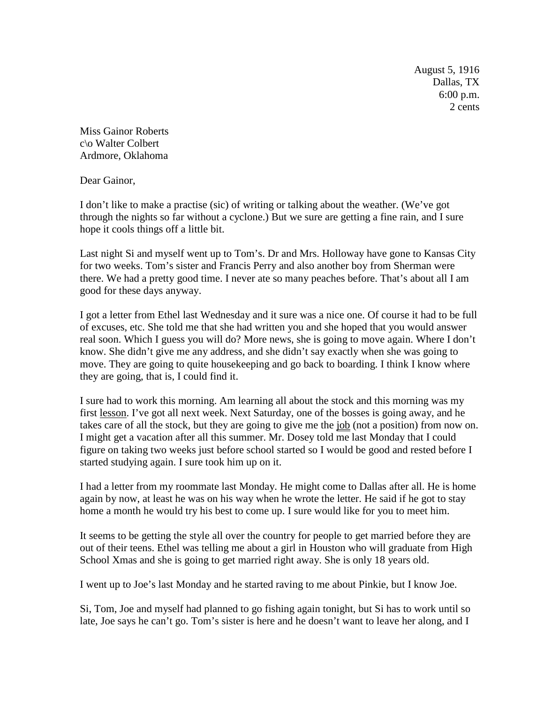August 5, 1916 Dallas, TX 6:00 p.m. 2 cents

Miss Gainor Roberts c\o Walter Colbert Ardmore, Oklahoma

Dear Gainor,

I don't like to make a practise (sic) of writing or talking about the weather. (We've got through the nights so far without a cyclone.) But we sure are getting a fine rain, and I sure hope it cools things off a little bit.

Last night Si and myself went up to Tom's. Dr and Mrs. Holloway have gone to Kansas City for two weeks. Tom's sister and Francis Perry and also another boy from Sherman were there. We had a pretty good time. I never ate so many peaches before. That's about all I am good for these days anyway.

I got a letter from Ethel last Wednesday and it sure was a nice one. Of course it had to be full of excuses, etc. She told me that she had written you and she hoped that you would answer real soon. Which I guess you will do? More news, she is going to move again. Where I don't know. She didn't give me any address, and she didn't say exactly when she was going to move. They are going to quite housekeeping and go back to boarding. I think I know where they are going, that is, I could find it.

I sure had to work this morning. Am learning all about the stock and this morning was my first lesson. I've got all next week. Next Saturday, one of the bosses is going away, and he takes care of all the stock, but they are going to give me the job (not a position) from now on. I might get a vacation after all this summer. Mr. Dosey told me last Monday that I could figure on taking two weeks just before school started so I would be good and rested before I started studying again. I sure took him up on it.

I had a letter from my roommate last Monday. He might come to Dallas after all. He is home again by now, at least he was on his way when he wrote the letter. He said if he got to stay home a month he would try his best to come up. I sure would like for you to meet him.

It seems to be getting the style all over the country for people to get married before they are out of their teens. Ethel was telling me about a girl in Houston who will graduate from High School Xmas and she is going to get married right away. She is only 18 years old.

I went up to Joe's last Monday and he started raving to me about Pinkie, but I know Joe.

Si, Tom, Joe and myself had planned to go fishing again tonight, but Si has to work until so late, Joe says he can't go. Tom's sister is here and he doesn't want to leave her along, and I